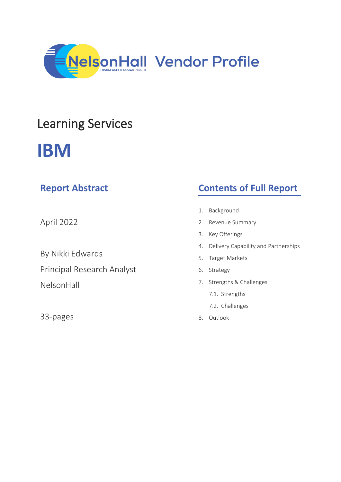

## Learning Services

# **IBM**

| <b>Report Abstract</b>     | <b>Contents of Full Report</b>          |  |  |
|----------------------------|-----------------------------------------|--|--|
|                            | Background<br>1.                        |  |  |
| April 2022                 | 2. Revenue Summary                      |  |  |
|                            | Key Offerings<br>3.                     |  |  |
|                            | 4. Delivery Capability and Partnerships |  |  |
| By Nikki Edwards           | Target Markets<br>5.                    |  |  |
| Principal Research Analyst | Strategy<br>6.                          |  |  |
| NelsonHall                 | 7. Strengths & Challenges               |  |  |
|                            | 7.1. Strengths                          |  |  |
|                            | 7.2. Challenges                         |  |  |
| 33-pages                   | Outlook<br>8.                           |  |  |
|                            |                                         |  |  |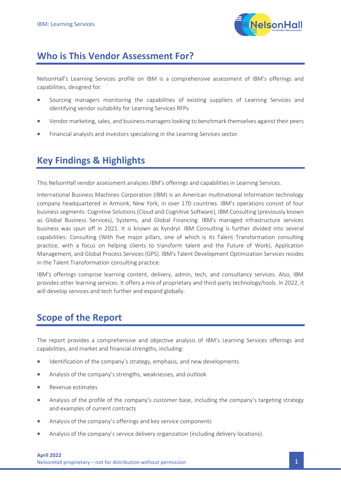

## **Who is This Vendor Assessment For?**

NelsonHall's Learning Services profile on IBM is a comprehensive assessment of IBM's offerings and capabilities, designed for:

- Sourcing managers monitoring the capabilities of existing suppliers of Learning Services and identifying vendor suitability for Learning Services RFPs
- Vendor marketing, sales, and business managers looking to benchmark themselves against their peers
- Financial analysts and investors specializing in the Learning Services sector.

## **Key Findings & Highlights**

This NelsonHall vendor assessment analyzes IBM's offerings and capabilities in Learning Services.

International Business Machines Corporation (IBM) is an American multinational information technology company headquartered in Armonk, New York, in over 170 countries. IBM's operations consist of four business segments: Cognitive Solutions (Cloud and Cognitive Software), IBM Consulting (previously known as Global Business Services), Systems, and Global Financing. IBM's managed infrastructure services business was spun off in 2021. It is known as Kyndryl. IBM Consulting is further divided into several capabilities: Consulting (With five major pillars, one of which is its Talent Transformation consulting practice, with a focus on helping clients to transform talent and the Future of Work), Application Management, and Global Process Services (GPS). IBM's Talent Development Optimization Services resides in the Talent Transformation consulting practice.

IBM's offerings comprise learning content, delivery, admin, tech, and consultancy services. Also, IBM provides other learning services. It offers a mix of proprietary and third-party technology/tools. In 2022, it will develop services and tech further and expand globally.

## **Scope of the Report**

The report provides a comprehensive and objective analysis of IBM's Learning Services offerings and capabilities, and market and financial strengths, including:

- Identification of the company's strategy, emphasis, and new developments
- Analysis of the company's strengths, weaknesses, and outlook
- Revenue estimates
- Analysis of the profile of the company's customer base, including the company's targeting strategy and examples of current contracts
- Analysis of the company's offerings and key service components
- Analysis of the company's service delivery organization (including delivery locations).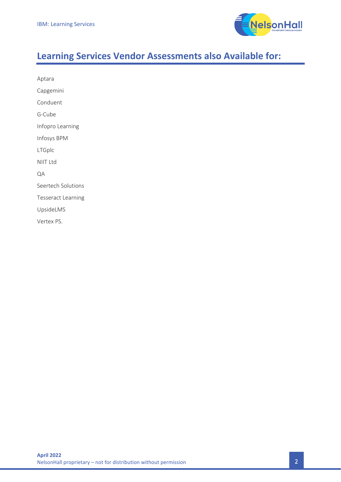

## **Learning Services Vendor Assessments also Available for:**

| Aptara                    |  |  |
|---------------------------|--|--|
| Capgemini                 |  |  |
| Conduent                  |  |  |
| G-Cube                    |  |  |
| Infopro Learning          |  |  |
| Infosys BPM               |  |  |
| LTGplc                    |  |  |
| NIIT Ltd                  |  |  |
| QA                        |  |  |
| Seertech Solutions        |  |  |
| <b>Tesseract Learning</b> |  |  |
| UpsideLMS                 |  |  |
| Vertex PS.                |  |  |
|                           |  |  |